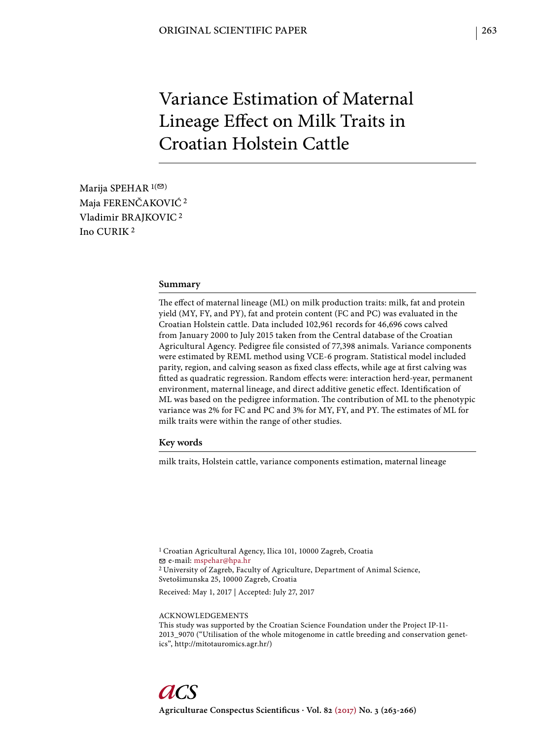# Variance Estimation of Maternal Lineage Effect on Milk Traits in Croatian Holstein Cattle

Marija SPEHAR  $1($ Maja FERENČAKOVIĆ 2 Vladimir BRAJKOVIC 2 Ino CURIK 2

#### **Summary**

The effect of maternal lineage (ML) on milk production traits: milk, fat and protein yield (MY, FY, and PY), fat and protein content (FC and PC) was evaluated in the Croatian Holstein cattle. Data included 102,961 records for 46,696 cows calved from January 2000 to July 2015 taken from the Central database of the Croatian Agricultural Agency. Pedigree file consisted of 77,398 animals. Variance components were estimated by REML method using VCE-6 program. Statistical model included parity, region, and calving season as fixed class effects, while age at first calving was fitted as quadratic regression. Random effects were: interaction herd-year, permanent environment, maternal lineage, and direct additive genetic effect. Identification of ML was based on the pedigree information. The contribution of ML to the phenotypic variance was 2% for FC and PC and 3% for MY, FY, and PY. The estimates of ML for milk traits were within the range of other studies.

# **Key words**

milk traits, Holstein cattle, variance components estimation, maternal lineage

1 Croatian Agricultural Agency, Ilica 101, 10000 Zagreb, Croatia e-mail: mspehar@hpa.hr 2 University of Zagreb, Faculty of Agriculture, Department of Animal Science, Svetošimunska 25, 10000 Zagreb, Croatia

Received: May 1, 2017 | Accepted: July 27, 2017

ACKNOWLEDGEMENTS

This study was supported by the Croatian Science Foundation under the Project IP-11- 2013\_9070 ("Utilisation of the whole mitogenome in cattle breeding and conservation genetics", http://mitotauromics.agr.hr/)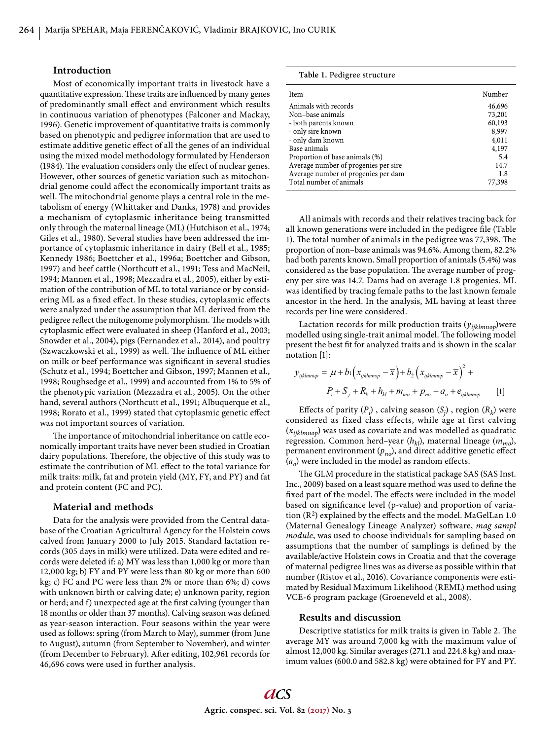## **Introduction**

Most of economically important traits in livestock have a quantitative expression. These traits are influenced by many genes of predominantly small effect and environment which results in continuous variation of phenotypes (Falconer and Mackay, 1996). Genetic improvement of quantitative traits is commonly based on phenotypic and pedigree information that are used to estimate additive genetic effect of all the genes of an individual using the mixed model methodology formulated by Henderson (1984). The evaluation considers only the effect of nuclear genes. However, other sources of genetic variation such as mitochondrial genome could affect the economically important traits as well. The mitochondrial genome plays a central role in the metabolism of energy (Whittaker and Danks, 1978) and provides a mechanism of cytoplasmic inheritance being transmitted only through the maternal lineage (ML) (Hutchison et al., 1974; Giles et al., 1980). Several studies have been addressed the importance of cytoplasmic inheritance in dairy (Bell et al., 1985; Kennedy 1986; Boettcher et al., 1996a; Boettcher and Gibson, 1997) and beef cattle (Northcutt et al., 1991; Tess and MacNeil, 1994; Mannen et al., 1998; Mezzadra et al., 2005), either by estimation of the contribution of ML to total variance or by considering ML as a fixed effect. In these studies, cytoplasmic effects were analyzed under the assumption that ML derived from the pedigree reflect the mitogenome polymorphism. The models with cytoplasmic effect were evaluated in sheep (Hanford et al., 2003; Snowder et al., 2004), pigs (Fernandez et al., 2014), and poultry (Szwaczkowski et al., 1999) as well. The influence of ML either on milk or beef performance was significant in several studies (Schutz et al., 1994; Boettcher and Gibson, 1997; Mannen et al., 1998; Roughsedge et al., 1999) and accounted from 1% to 5% of the phenotypic variation (Mezzadra et al., 2005). On the other hand, several authors (Northcutt et al., 1991; Albuquerque et al., 1998; Rorato et al., 1999) stated that cytoplasmic genetic effect was not important sources of variation.

The importance of mitochondrial inheritance on cattle economically important traits have never been studied in Croatian dairy populations. Therefore, the objective of this study was to estimate the contribution of ML effect to the total variance for milk traits: milk, fat and protein yield (MY, FY, and PY) and fat and protein content (FC and PC).

#### **Material and methods**

Data for the analysis were provided from the Central database of the Croatian Agricultural Agency for the Holstein cows calved from January 2000 to July 2015. Standard lactation records (305 days in milk) were utilized. Data were edited and records were deleted if: a) MY was less than 1,000 kg or more than 12,000 kg; b) FY and PY were less than 80 kg or more than 600 kg; c) FC and PC were less than 2% or more than 6%; d) cows with unknown birth or calving date; e) unknown parity, region or herd; and f) unexpected age at the first calving (younger than 18 months or older than 37 months). Calving season was defined as year-season interaction. Four seasons within the year were used as follows: spring (from March to May), summer (from June to August), autumn (from September to November), and winter (from December to February). After editing, 102,961 records for 46,696 cows were used in further analysis.

**Table 1.** Pedigree structure

| Item                                  | Number |
|---------------------------------------|--------|
| Animals with records                  | 46,696 |
| Non-base animals                      | 73,201 |
| - both parents known                  | 60,193 |
| - only sire known                     | 8,997  |
| - only dam known                      | 4,011  |
| Base animals                          | 4,197  |
| Proportion of base animals (%)        | 5.4    |
| Average number of progenies per sire. | 14.7   |
| Average number of progenies per dam   | 1.8    |
| Total number of animals               | 77,398 |

All animals with records and their relatives tracing back for all known generations were included in the pedigree file (Table 1). The total number of animals in the pedigree was 77,398. The proportion of non–base animals was 94.6%. Among them, 82.2% had both parents known. Small proportion of animals (5.4%) was considered as the base population. The average number of progeny per sire was 14.7. Dams had on average 1.8 progenies. ML was identified by tracing female paths to the last known female ancestor in the herd. In the analysis, ML having at least three records per line were considered.

Lactation records for milk production traits (*yijklmnop*)were modelled using single-trait animal model. The following model present the best fit for analyzed traits and is shown in the scalar notation [1]:

$$
y_{ijklmrop} = \mu + b_1 \left( x_{ijklmrop} - \overline{x} \right) + b_2 \left( x_{ijklmrop} - \overline{x} \right)^2 +
$$
  

$$
P_i + S_j + R_k + h_{kl} + m_{mo} + p_{no} + a_o + e_{ijklmrop}
$$
 [1]

Effects of parity  $(P_i)$ , calving season  $(S_j)$ , region  $(R_k)$  were considered as fixed class effects, while age at first calving (*xijklmnop*) was used as covariate and was modelled as quadratic regression. Common herd–year (*h<sub>kl</sub>*), maternal lineage (*m<sub>mo</sub>*), permanent environment  $(p_{no})$ , and direct additive genetic effect  $(a<sub>o</sub>)$  were included in the model as random effects.

The GLM procedure in the statistical package SAS (SAS Inst. Inc., 2009) based on a least square method was used to define the fixed part of the model. The effects were included in the model based on significance level (p-value) and proportion of variation  $(R^2)$  explained by the effects and the model. MaGelLan 1.0 (Maternal Genealogy Lineage Analyzer) software, *mag sampl module*, was used to choose individuals for sampling based on assumptions that the number of samplings is defined by the available/active Holstein cows in Croatia and that the coverage of maternal pedigree lines was as diverse as possible within that number (Ristov et al., 2016). Covariance components were estimated by Residual Maximum Likelihood (REML) method using VCE-6 program package (Groeneveld et al., 2008).

## **Res ults and discussion**

Descriptive statistics for milk traits is given in Table 2. The average MY was around 7,000 kg with the maximum value of almost 12,000 kg. Similar averages (271.1 and 224.8 kg) and maximum values (600.0 and 582.8 kg) were obtained for FY and PY.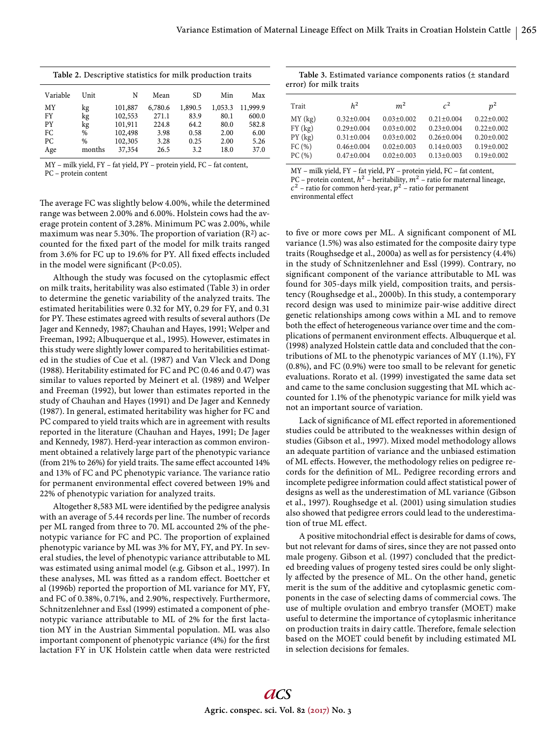| Table 2. Descriptive statistics for milk production traits |  |
|------------------------------------------------------------|--|
|------------------------------------------------------------|--|

| Max      |
|----------|
|          |
| 11,999.9 |
| 600.0    |
| 582.8    |
| 6.00     |
| 5.26     |
| 37.0     |
|          |

MY – milk yield, FY – fat yield, PY – protein yield, FC – fat content, PC – protein content

Table 3. Estimated variance components ratios (± standard error) for milk traits

| h <sup>2</sup><br>m <sup>2</sup><br>$r^2$<br>Trait                                                                                                                                                                                                                                                                                                          |  | $n^2$                                                                                            |
|-------------------------------------------------------------------------------------------------------------------------------------------------------------------------------------------------------------------------------------------------------------------------------------------------------------------------------------------------------------|--|--------------------------------------------------------------------------------------------------|
| MY(kg)<br>$0.32 \pm 0.004$<br>$0.03 \pm 0.002$<br>$0.21 \pm 0.004$<br>$FY$ (kg)<br>$0.29 \pm 0.004$<br>$0.03 \pm 0.002$<br>$0.23 \pm 0.004$<br>PY(kg)<br>$0.31 \pm 0.004$<br>$0.03 \pm 0.002$<br>$0.26 \pm 0.004$<br>FC(%)<br>$0.02 \pm 0.003$<br>$0.14 \pm 0.003$<br>$0.46 \pm 0.004$<br>PC(%)<br>$0.02 \pm 0.003$<br>$0.47 \pm 0.004$<br>$0.13 \pm 0.003$ |  | $0.22 \pm 0.002$<br>$0.22 \pm 0.002$<br>$0.20 \pm 0.002$<br>$0.19 \pm 0.002$<br>$0.19 \pm 0.002$ |

MY – milk yield, FY – fat yield, PY – protein yield, FC – fat content, PC – protein content,  $h^2$  – heritability,  $m^2$  – ratio for maternal lineage,  $c<sup>2</sup>$  – ratio for common herd-year,  $p<sup>2</sup>$  – ratio for permanent

environmental effect

The average FC was slightly below 4.00%, while the determined range was between 2.00% and 6.00%. Holstein cows had the average protein content of 3.28%. Minimum PC was 2.00%, while maximum was near 5.30%. The proportion of variation  $(R^2)$  accounted for the fixed part of the model for milk traits ranged from 3.6% for FC up to 19.6% for PY. All fixed effects included in the model were significant (P<0.05).

Although the study was focused on the cytoplasmic effect on milk traits, heritability was also estimated (Table 3) in order to determine the genetic variability of the analyzed traits. The estimated heritabilities were 0.32 for MY, 0.29 for FY, and 0.31 for PY. These estimates agreed with results of several authors (De Jager and Kennedy, 1987; Chauhan and Hayes, 1991; Welper and Freeman, 1992; Albuquerque et al., 1995). However, estimates in this study were slightly lower compared to heritabilities estimated in the studies of Cue et al. (1987) and Van Vleck and Dong (1988). Heritability estimated for FC and PC (0.46 and 0.47) was similar to values reported by Meinert et al. (1989) and Welper and Freeman (1992), but lower than estimates reported in the study of Chauhan and Hayes (1991) and De Jager and Kennedy (1987). In general, estimated heritability was higher for FC and PC compared to yield traits which are in agreement with results reported in the literature (Chauhan and Hayes, 1991; De Jager and Kennedy, 1987). Herd-year interaction as common environment obtained a relatively large part of the phenotypic variance (from 21% to 26%) for yield traits. The same effect accounted  $14\%$ and 13% of FC and PC phenotypic variance. The variance ratio for permanent environmental effect covered between 19% and 22% of phenotypic variation for analyzed traits.

Altogether 8,583 ML were identified by the pedigree analysis with an average of 5.44 records per line. The number of records per ML ranged from three to 70. ML accounted 2% of the phenotypic variance for FC and PC. The proportion of explained phenotypic variance by ML was 3% for MY, FY, and PY. In several studies, the level of phenotypic variance attributable to ML was estimated using animal model (e.g. Gibson et al., 1997). In these analyses, ML was fitted as a random effect. Boettcher et al (1996b) reported the proportion of ML variance for MY, FY, and FC of 0.38%, 0.71%, and 2.90%, respectively. Furthermore, Schnitzenlehner and Essl (1999) estimated a component of phenotypic variance attributable to ML of 2% for the first lactation MY in the Austrian Simmental population. ML was also important component of phenotypic variance (4%) for the first lactation FY in UK Holstein cattle when data were restricted

to five or more cows per ML. A significant component of ML variance (1.5%) was also estimated for the composite dairy type traits (Roughsedge et al., 2000a) as well as for persistency (4.4%) in the study of Schnitzenlehner and Essl (1999). Contrary, no significant component of the variance attributable to ML was found for 305-days milk yield, composition traits, and persistency (Roughsedge et al., 2000b). In this study, a contemporary record design was used to minimize pair-wise additive direct genetic relationships among cows within a ML and to remove both the effect of heterogeneous variance over time and the complications of permanent environment effects. Albuquerque et al. (1998) analyzed Holstein cattle data and concluded that the contributions of ML to the phenotypic variances of MY (1.1%), FY (0.8%), and FC (0.9%) were too small to be relevant for genetic evaluations. Rorato et al. (1999) investigated the same data set and came to the same conclusion suggesting that ML which accounted for 1.1% of the phenotypic variance for milk yield was not an important source of variation.

Lack of significance of ML effect reported in aforementioned studies could be attributed to the weaknesses within design of studies (Gibson et al., 1997). Mixed model methodology allows an adequate partition of variance and the unbiased estimation of ML effects. However, the methodology relies on pedigree records for the definition of ML. Pedigree recording errors and incomplete pedigree information could affect statistical power of designs as well as the underestimation of ML variance (Gibson et al., 1997). Roughsedge et al. (2001) using simulation studies also showed that pedigree errors could lead to the underestimation of true ML effect.

A positive mitochondrial effect is desirable for dams of cows, but not relevant for dams of sires, since they are not passed onto male progeny. Gibson et al. (1997) concluded that the predicted breeding values of progeny tested sires could be only slightly affected by the presence of ML. On the other hand, genetic merit is the sum of the additive and cytoplasmic genetic components in the case of selecting dams of commercial cows. The use of multiple ovulation and embryo transfer (MOET) make useful to determine the importance of cytoplasmic inheritance on production traits in dairy cattle. Therefore, female selection based on the MOET could benefit by including estimated ML in selection decisions for females.